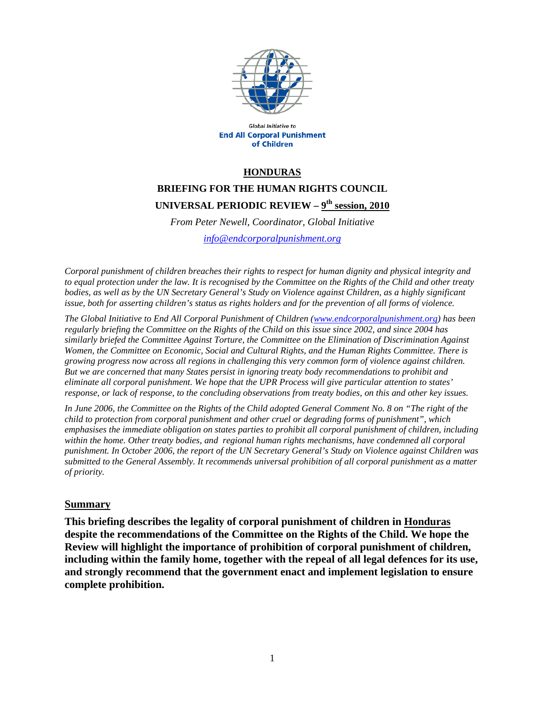

Global Initiative to **End All Corporal Punishment** of Children

#### **HONDURAS**

# **BRIEFING FOR THE HUMAN RIGHTS COUNCIL UNIVERSAL PERIODIC REVIEW – 9th session, 2010**

*From Peter Newell, Coordinator, Global Initiative info@endcorporalpunishment.org*

*Corporal punishment of children breaches their rights to respect for human dignity and physical integrity and to equal protection under the law. It is recognised by the Committee on the Rights of the Child and other treaty bodies, as well as by the UN Secretary General's Study on Violence against Children, as a highly significant issue, both for asserting children's status as rights holders and for the prevention of all forms of violence.* 

*The Global Initiative to End All Corporal Punishment of Children (www.endcorporalpunishment.org) has been regularly briefing the Committee on the Rights of the Child on this issue since 2002, and since 2004 has similarly briefed the Committee Against Torture, the Committee on the Elimination of Discrimination Against Women, the Committee on Economic, Social and Cultural Rights, and the Human Rights Committee. There is growing progress now across all regions in challenging this very common form of violence against children. But we are concerned that many States persist in ignoring treaty body recommendations to prohibit and eliminate all corporal punishment. We hope that the UPR Process will give particular attention to states' response, or lack of response, to the concluding observations from treaty bodies, on this and other key issues.* 

*In June 2006, the Committee on the Rights of the Child adopted General Comment No. 8 on "The right of the child to protection from corporal punishment and other cruel or degrading forms of punishment", which emphasises the immediate obligation on states parties to prohibit all corporal punishment of children, including within the home. Other treaty bodies, and regional human rights mechanisms, have condemned all corporal punishment. In October 2006, the report of the UN Secretary General's Study on Violence against Children was submitted to the General Assembly. It recommends universal prohibition of all corporal punishment as a matter of priority.*

#### **Summary**

**This briefing describes the legality of corporal punishment of children in Honduras despite the recommendations of the Committee on the Rights of the Child. We hope the Review will highlight the importance of prohibition of corporal punishment of children, including within the family home, together with the repeal of all legal defences for its use, and strongly recommend that the government enact and implement legislation to ensure complete prohibition.**